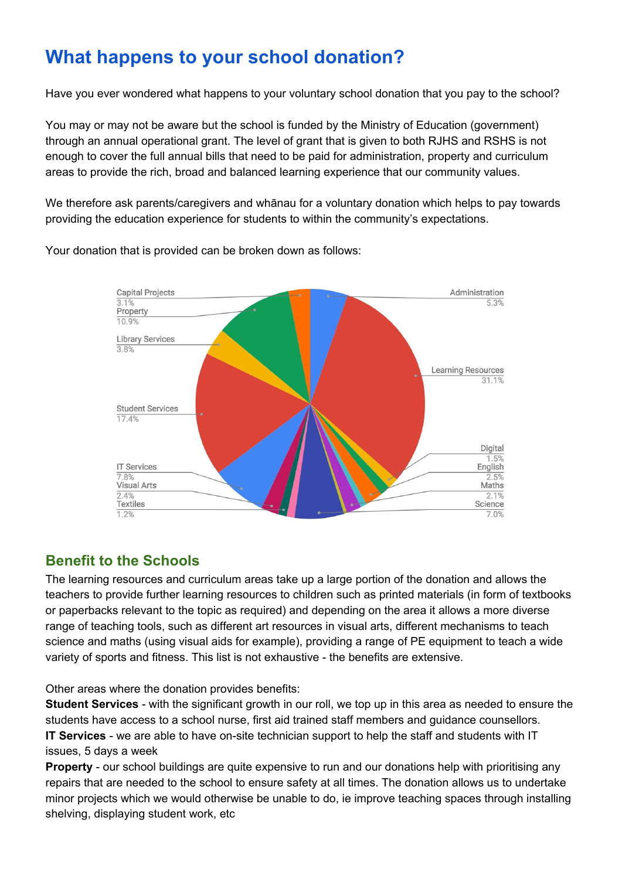# **What happens to your school donation?**

Have you ever wondered what happens to your voluntary school donation that you pay to the school?

You may or may not be aware but the school is funded by the Ministry of Education (government) through an annual operational grant. The level of grant that is given to both RJHS and RSHS is not enough to cover the full annual bills that need to be paid for administration, property and curriculum areas to provide the rich, broad and balanced learning experience that our community values.

We therefore ask parents/caregivers and whānau for a voluntary donation which helps to pay towards providing the education experience for students to within the community's expectations.



Your donation that is provided can be broken down as follows:

# **Benefit to the Schools**

The learning resources and curriculum areas take up a large portion of the donation and allows the teachers to provide further learning resources to children such as printed materials (in form of textbooks or paperbacks relevant to the topic as required) and depending on the area it allows a more diverse range of teaching tools, such as different art resources in visual arts, different mechanisms to teach science and maths (using visual aids for example), providing a range of PE equipment to teach a wide variety of sports and fitness. This list is not exhaustive - the benefits are extensive.

Other areas where the donation provides benefits:

**Student Services** - with the significant growth in our roll, we top up in this area as needed to ensure the students have access to a school nurse, first aid trained staff members and guidance counsellors. **IT Services** - we are able to have on-site technician support to help the staff and students with IT issues, 5 days a week

**Property** - our school buildings are quite expensive to run and our donations help with prioritising any repairs that are needed to the school to ensure safety at all times. The donation allows us to undertake minor projects which we would otherwise be unable to do, ie improve teaching spaces through installing shelving, displaying student work, etc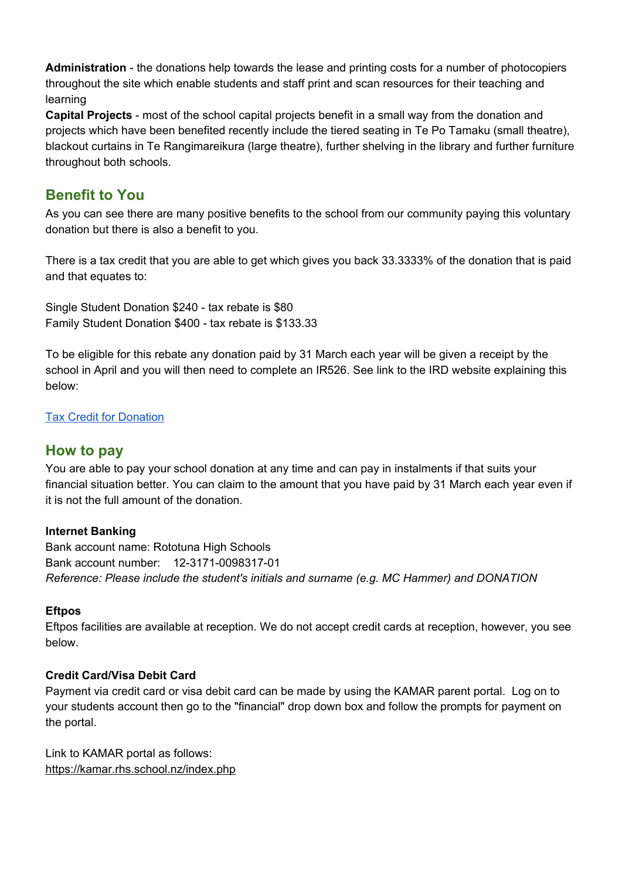**Administration** - the donations help towards the lease and printing costs for a number of photocopiers throughout the site which enable students and staff print and scan resources for their teaching and learning

**Capital Projects** - most of the school capital projects benefit in a small way from the donation and projects which have been benefited recently include the tiered seating in Te Po Tamaku (small theatre), blackout curtains in Te Rangimareikura (large theatre), further shelving in the library and further furniture throughout both schools.

## **Benefit to You**

As you can see there are many positive benefits to the school from our community paying this voluntary donation but there is also a benefit to you.

There is a tax credit that you are able to get which gives you back 33.3333% of the donation that is paid and that equates to:

Single Student Donation \$240 - tax rebate is \$80 Family Student Donation \$400 - tax rebate is \$133.33

To be eligible for this rebate any donation paid by 31 March each year will be given a receipt by the school in April and you will then need to complete an IR526. See link to the IRD website explaining this below:

## Tax Credit for [Donation](https://www.ird.govt.nz/income-tax-individual/tax-credits/donations-taxcredits/donations-taxcredits.html)

## **How to pay**

You are able to pay your school donation at any time and can pay in instalments if that suits your financial situation better. You can claim to the amount that you have paid by 31 March each year even if it is not the full amount of the donation.

## **Internet Banking**

Bank account name: Rototuna High Schools Bank account number: 12-3171-0098317-01 *Reference: Please include the student's initials and surname (e.g. MC Hammer) and DONATION*

## **Eftpos**

Eftpos facilities are available at reception. We do not accept credit cards at reception, however, you see below.

## **Credit Card/Visa Debit Card**

Payment via credit card or visa debit card can be made by using the KAMAR parent portal. Log on to your students account then go to the "financial" drop down box and follow the prompts for payment on the portal.

Link to KAMAR portal as follows: <https://kamar.rhs.school.nz/index.php>